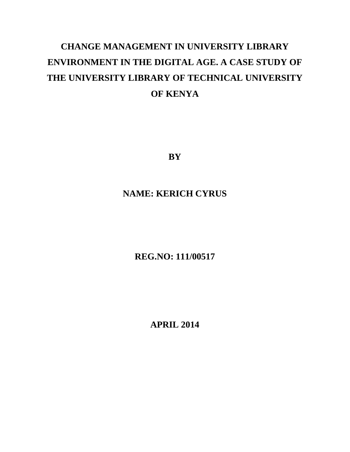## **CHANGE MANAGEMENT IN UNIVERSITY LIBRARY ENVIRONMENT IN THE DIGITAL AGE. A CASE STUDY OF THE UNIVERSITY LIBRARY OF TECHNICAL UNIVERSITY OF KENYA**

**BY**

## **NAME: KERICH CYRUS**

**REG.NO: 111/00517**

**APRIL 2014**